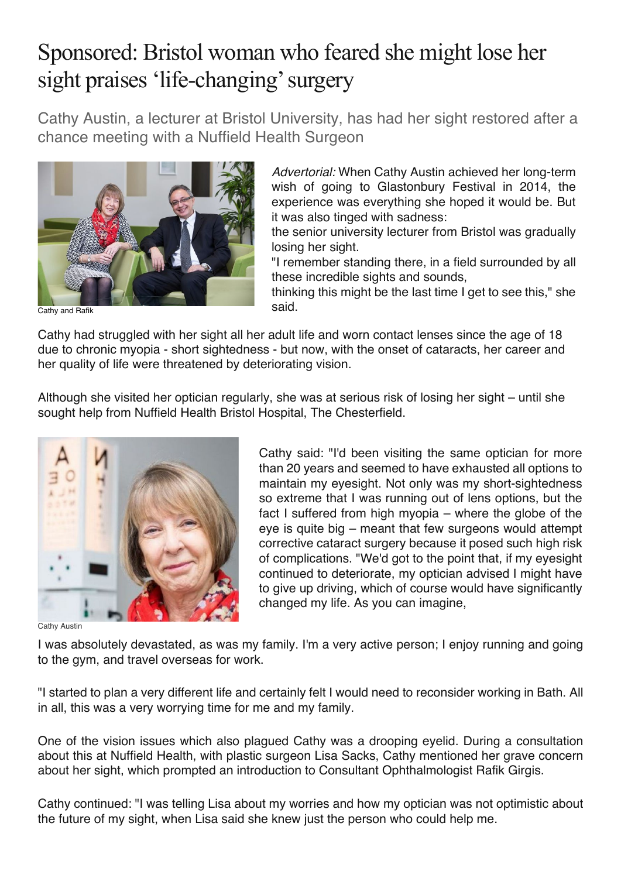## Sponsored: Bristol woman who feared she might lose her sight praises 'life-changing' surgery

Cathy Austin, a lecturer at Bristol University, has had her sight restored after a chance meeting with a Nuffield Health Surgeon



*Advertorial:* When Cathy Austin achieved her long-term wish of going to Glastonbury Festival in 2014, the experience was everything she hoped it would be. But it was also tinged with sadness:

the senior university lecturer from Bristol was gradually losing her sight.

"I remember standing there, in a field surrounded by all these incredible sights and sounds,

thinking this might be the last time I get to see this," she said.

Cathy and Rafik

Cathy had struggled with her sight all her adult life and worn contact lenses since the age of 18 due to chronic myopia - short sightedness - but now, with the onset of cataracts, her career and her quality of life were threatened by deteriorating vision.

Although she visited her optician regularly, she was at serious risk of losing her sight – until she sought help from Nuffield Health Bristol Hospital, The Chesterfield.



Cathy Austin

Cathy said: "I'd been visiting the same optician for more than 20 years and seemed to have exhausted all options to maintain my eyesight. Not only was my short-sightedness so extreme that I was running out of lens options, but the fact I suffered from high myopia – where the globe of the eye is quite big – meant that few surgeons would attempt corrective cataract surgery because it posed such high risk of complications. "We'd got to the point that, if my eyesight continued to deteriorate, my optician advised I might have to give up driving, which of course would have significantly changed my life. As you can imagine,

I was absolutely devastated, as was my family. I'm a very active person; I enjoy running and going to the gym, and travel overseas for work.

"I started to plan a very different life and certainly felt I would need to reconsider working in Bath. All in all, this was a very worrying time for me and my family.

One of the vision issues which also plagued Cathy was a drooping eyelid. During a consultation about this at Nuffield Health, with plastic surgeon Lisa Sacks, Cathy mentioned her grave concern about her sight, which prompted an introduction to Consultant Ophthalmologist Rafik Girgis.

Cathy continued: "I was telling Lisa about my worries and how my optician was not optimistic about the future of my sight, when Lisa said she knew just the person who could help me.